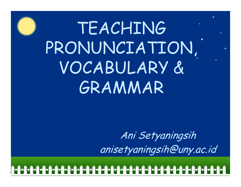# TEACHING PRONUNCIATION, VOCABULARY & GRAMMAR

### Ani Setyaningsih anisetyaningsih@uny.ac.id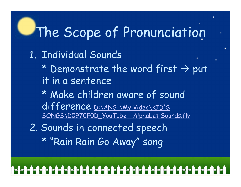# The Scope of Pronunciation

- 1. Individual Sounds
	- \* Demonstrate the word first  $\rightarrow$  put it in a sentence
	- \* Make children aware of sound difference D:\ANS'\My Video\KID'S SONGS\D0970F0D\_YouTube - Alphabet Sounds.flv
- 2. Sounds in connected speech
	- \* "Rain Rain Go Away" song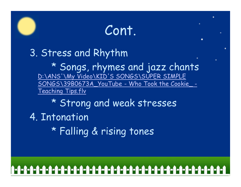## Cont.

### 3. Stress and Rhythm

\* Songs, rhymes and jazz chants D:\ANS'\My Video\KID'S SONGS\SUPER SIMPLE SONGS\39B0673A\_YouTube - Who Took the Cookie\_ - Teaching Tips.flv

### \* Strong and weak stresses

4. Intonation

\* Falling & rising tones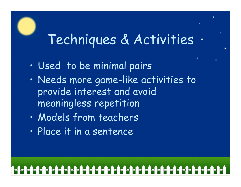# Techniques & Activities

- Used to be minimal pairs
- Needs more game-like activities to provide interest and avoid meaningless repetition
- Models from teachers
- Place it in a sentence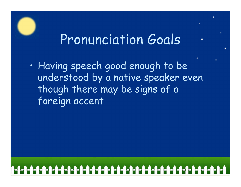# Pronunciation Goals

• Having speech good enough to be understood by a native speaker even though there may be signs of a foreign accent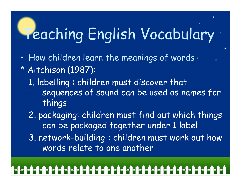# Teaching English Vocabulary

- How children learn the meanings of words
- \* Aitchison (1987):
	- 1. labelling : children must discover that sequences of sound can be used as names for things
	- 2. packaging: children must find out which things can be packaged together under 1 label
	- 3. network-building : children must work out how words relate to one another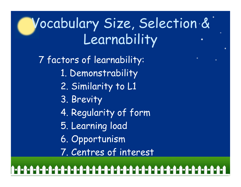# Vocabulary Size, Selection & Learnability

7 factors of learnability: 1. Demonstrability 2. Similarity to L1 3. Brevity 4. Regularity of form 5. Learning load

- 6. Opportunism
- 7. Centres of interest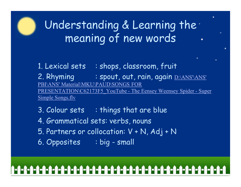### Understanding & Learning the meaning of new words

1. Lexical sets : shops, classroom, fruit 2. Rhyming : spout, out, rain, again D:\ANS'\ANS' PBI\ANS' Material\MKU\PAUD\SONGS FOR PRESENTATION\C62173F5\_YouTube - The Eensey Weensey Spider - Super Simple Songs.flv

3. Colour sets : things that are blue 4. Grammatical sets: verbs, nouns 5. Partners or collocation:  $V + N$ , Adj + N

6. Opposites : big - small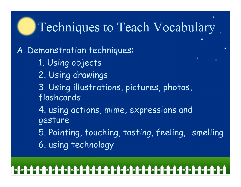### Techniques to Teach Vocabulary

A. Demonstration techniques: 1. Using objects 2. Using drawings 3. Using illustrations, pictures, photos, flashcards 4. using actions, mime, expressions and gesture 5. Pointing, touching, tasting, feeling, smelling 6. using technology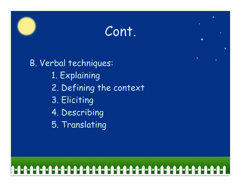### Cont.

B. Verbal techniques: 1. Explaining 2. Defining the context 3. Eliciting 4. Describing 5. Translating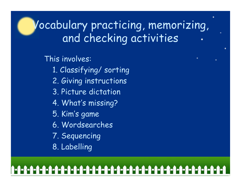### Vocabulary practicing, memorizing, and checking activities

This involves:

- 1. Classifying/ sorting
- 2. Giving instructions
- 3. Picture dictation
- 4. What's missing?
- 5. Kim's game
- 6. Wordsearches
- 7. Sequencing
- 8. Labelling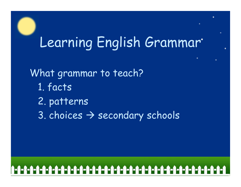# Learning English Grammar

What grammar to teach? 1. facts 2. patterns 3. choices  $\rightarrow$  secondary schools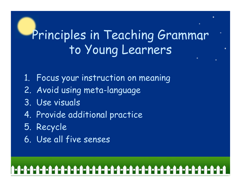# Principles in Teaching Grammar to Young Learners

- 1. Focus your instruction on meaning
- 2. Avoid using meta-language
- 3. Use visuals
- 4. Provide additional practice
- 5. Recycle
- 6. Use all five senses